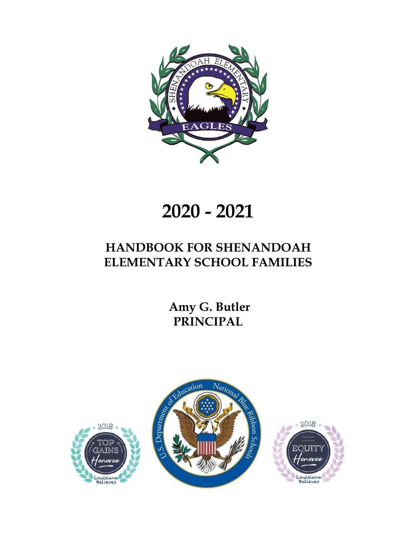

# **2020 - 2021**

## **HANDBOOK FOR SHENANDOAH ELEMENTARY SCHOOL FAMILIES**

 **Amy G. Butler PRINCIPAL**

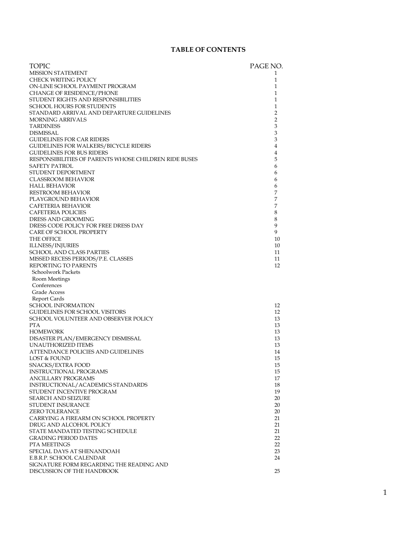#### **TABLE OF CONTENTS**

| <b>TOPIC</b>                                            | PAGE NO.       |
|---------------------------------------------------------|----------------|
| <b>MISSION STATEMENT</b>                                | 1              |
| CHECK WRITING POLICY                                    | 1              |
| ON-LINE SCHOOL PAYMENT PROGRAM                          | 1              |
| <b>CHANGE OF RESIDENCE/PHONE</b>                        | $\mathbf{1}$   |
| STUDENT RIGHTS AND RESPONSIBILITIES                     | $\mathbf{1}$   |
| <b>SCHOOL HOURS FOR STUDENTS</b>                        | $\mathbf{1}$   |
| STANDARD ARRIVAL AND DEPARTURE GUIDELINES               | 2              |
| <b>MORNING ARRIVALS</b>                                 | 2              |
| <b>TARDINESS</b>                                        | 3              |
| DISMISSAL                                               | 3              |
| <b>GUIDELINES FOR CAR RIDERS</b>                        | 3              |
| <b>GUIDELINES FOR WALKERS/BICYCLE RIDERS</b>            | $\overline{4}$ |
| <b>GUIDELINES FOR BUS RIDERS</b>                        | 4              |
| RESPONSIBILITIES OF PARENTS WHOSE CHILDREN RIDE BUSES   | 5              |
| SAFETY PATROL                                           | 6              |
| STUDENT DEPORTMENT                                      | 6              |
| <b>CLASSROOM BEHAVIOR</b>                               | 6              |
| <b>HALL BEHAVIOR</b>                                    | 6<br>7         |
| <b>RESTROOM BEHAVIOR</b><br>PLAYGROUND BEHAVIOR         | 7              |
| CAFETERIA BEHAVIOR                                      | 7              |
| <b>CAFETERIA POLICIES</b>                               | 8              |
| DRESS AND GROOMING                                      | 8              |
| DRESS CODE POLICY FOR FREE DRESS DAY                    | 9              |
| <b>CARE OF SCHOOL PROPERTY</b>                          | 9              |
| THE OFFICE                                              | 10             |
| <b>ILLNESS/INJURIES</b>                                 | 10             |
| SCHOOL AND CLASS PARTIES                                | 11             |
| MISSED RECESS PERIODS/P.E. CLASSES                      | 11             |
| REPORTING TO PARENTS                                    | 12             |
| Schoolwork Packets                                      |                |
| Room Meetings                                           |                |
| Conferences                                             |                |
| Grade Access                                            |                |
| Report Cards                                            |                |
| <b>SCHOOL INFORMATION</b>                               | 12             |
| GUIDELINES FOR SCHOOL VISITORS                          | 12             |
| SCHOOL VOLUNTEER AND OBSERVER POLICY                    | 13             |
| <b>PTA</b>                                              | 13             |
| <b>HOMEWORK</b>                                         | 13<br>13       |
| DISASTER PLAN/EMERGENCY DISMISSAL<br>UNAUTHORIZED ITEMS | 13             |
| ATTENDANCE POLICIES AND GUIDELINES                      | 14             |
| LOST & FOUND                                            | 15             |
| SNACKS/EXTRA FOOD                                       | 15             |
| <b>INSTRUCTIONAL PROGRAMS</b>                           | 15             |
| <b>ANCILLARY PROGRAMS</b>                               | 17             |
| INSTRUCTIONAL/ACADEMICS STANDARDS                       | 18             |
| STUDENT INCENTIVE PROGRAM                               | 19             |
| <b>SEARCH AND SEIZURE</b>                               | 20             |
| STUDENT INSURANCE                                       | 20             |
| <b>ZERO TOLERANCE</b>                                   | 20             |
| CARRYING A FIREARM ON SCHOOL PROPERTY                   | 21             |
| DRUG AND ALCOHOL POLICY                                 | 21             |
| STATE MANDATED TESTING SCHEDULE                         | 21             |
| <b>GRADING PERIOD DATES</b>                             | 22             |
| PTA MEETINGS                                            | 22             |
| SPECIAL DAYS AT SHENANDOAH<br>E.B.R.P. SCHOOL CALENDAR  | 23<br>24       |
| SIGNATURE FORM REGARDING THE READING AND                |                |
| DISCUSSION OF THE HANDBOOK                              | 25             |
|                                                         |                |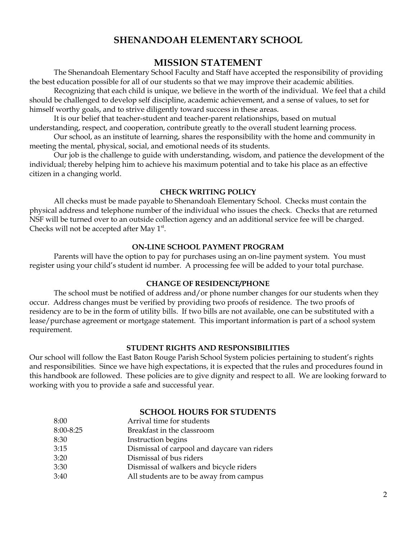## **SHENANDOAH ELEMENTARY SCHOOL**

#### **MISSION STATEMENT**

The Shenandoah Elementary School Faculty and Staff have accepted the responsibility of providing the best education possible for all of our students so that we may improve their academic abilities.

Recognizing that each child is unique, we believe in the worth of the individual. We feel that a child should be challenged to develop self discipline, academic achievement, and a sense of values, to set for himself worthy goals, and to strive diligently toward success in these areas.

It is our belief that teacher-student and teacher-parent relationships, based on mutual understanding, respect, and cooperation, contribute greatly to the overall student learning process.

Our school, as an institute of learning, shares the responsibility with the home and community in meeting the mental, physical, social, and emotional needs of its students.

Our job is the challenge to guide with understanding, wisdom, and patience the development of the individual; thereby helping him to achieve his maximum potential and to take his place as an effective citizen in a changing world.

#### **CHECK WRITING POLICY**

All checks must be made payable to Shenandoah Elementary School. Checks must contain the physical address and telephone number of the individual who issues the check. Checks that are returned NSF will be turned over to an outside collection agency and an additional service fee will be charged. Checks will not be accepted after May 1<sup>st</sup>.

#### **ON-LINE SCHOOL PAYMENT PROGRAM**

Parents will have the option to pay for purchases using an on-line payment system. You must register using your child's student id number. A processing fee will be added to your total purchase.

#### **CHANGE OF RESIDENCE/PHONE**

The school must be notified of address and/or phone number changes for our students when they occur. Address changes must be verified by providing two proofs of residence. The two proofs of residency are to be in the form of utility bills. If two bills are not available, one can be substituted with a lease/purchase agreement or mortgage statement. This important information is part of a school system requirement.

#### **STUDENT RIGHTS AND RESPONSIBILITIES**

Our school will follow the East Baton Rouge Parish School System policies pertaining to student's rights and responsibilities. Since we have high expectations, it is expected that the rules and procedures found in this handbook are followed. These policies are to give dignity and respect to all. We are looking forward to working with you to provide a safe and successful year.

#### **SCHOOL HOURS FOR STUDENTS**

| Arrival time for students                   |
|---------------------------------------------|
| Breakfast in the classroom                  |
| Instruction begins                          |
| Dismissal of carpool and daycare van riders |
| Dismissal of bus riders                     |
| Dismissal of walkers and bicycle riders     |
| All students are to be away from campus     |
|                                             |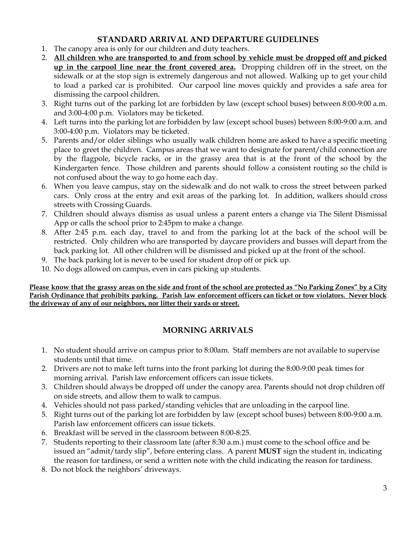## **STANDARD ARRIVAL AND DEPARTURE GUIDELINES**

- 1. The canopy area is only for our children and duty teachers.
- 2. **All children who are transported to and from school by vehicle must be dropped off and picked up in the carpool line near the front covered area.** Dropping children off in the street, on the sidewalk or at the stop sign is extremely dangerous and not allowed. Walking up to get your child to load a parked car is prohibited. Our carpool line moves quickly and provides a safe area for dismissing the carpool children.
- 3. Right turns out of the parking lot are forbidden by law (except school buses) between 8:00-9:00 a.m. and 3:00-4:00 p.m. Violators may be ticketed.
- 4. Left turns into the parking lot are forbidden by law (except school buses) between 8:00-9:00 a.m. and 3:00-4:00 p.m. Violators may be ticketed.
- 5. Parents and/or older siblings who usually walk children home are asked to have a specific meeting place to greet the children. Campus areas that we want to designate for parent/child connection are by the flagpole, bicycle racks, or in the grassy area that is at the front of the school by the Kindergarten fence. Those children and parents should follow a consistent routing so the child is not confused about the way to go home each day.
- 6. When you leave campus, stay on the sidewalk and do not walk to cross the street between parked cars. Only cross at the entry and exit areas of the parking lot. In addition, walkers should cross streets with Crossing Guards.
- 7. Children should always dismiss as usual unless a parent enters a change via The Silent Dismissal App or calls the school prior to 2:45pm to make a change.
- 8. After 2:45 p.m. each day, travel to and from the parking lot at the back of the school will be restricted. Only children who are transported by daycare providers and busses will depart from the back parking lot. All other children will be dismissed and picked up at the front of the school.
- 9. The back parking lot is never to be used for student drop off or pick up.
- 10. No dogs allowed on campus, even in cars picking up students.

Please know that the grassy areas on the side and front of the school are protected as "No Parking Zones" by a City Parish Ordinance that prohibits parking. Parish law enforcement officers can ticket or tow violators. Never block **the driveway of any of our neighbors, nor litter their yards or street.**

## **MORNING ARRIVALS**

- 1. No student should arrive on campus prior to 8:00am. Staff members are not available to supervise students until that time.
- 2. Drivers are not to make left turns into the front parking lot during the 8:00-9:00 peak times for morning arrival. Parish law enforcement officers can issue tickets.
- 3. Children should always be dropped off under the canopy area. Parents should not drop children off on side streets, and allow them to walk to campus.
- 4. Vehicles should not pass parked/standing vehicles that are unloading in the carpool line.
- 5. Right turns out of the parking lot are forbidden by law (except school buses) between 8:00-9:00 a.m. Parish law enforcement officers can issue tickets.
- 6. Breakfast will be served in the classroom between 8:00-8:25.
- 7. Students reporting to their classroom late (after 8:30 a.m.) must come to the school office and be issued an "admit/tardy slip", before entering class. A parent **MUST** sign the student in, indicating the reason for tardiness, or send a written note with the child indicating the reason for tardiness.
- 8. Do not block the neighbors' driveways.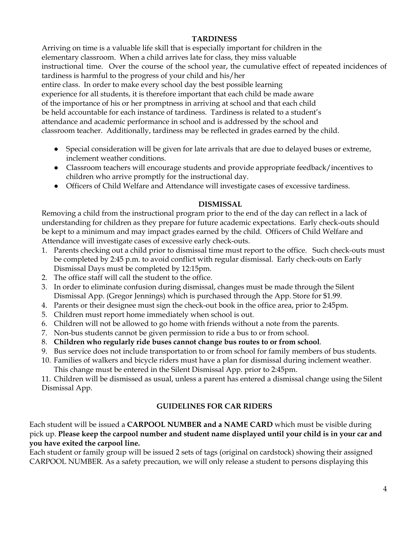#### **TARDINESS**

Arriving on time is a valuable life skill that is especially important for children in the elementary classroom. When a child arrives late for class, they miss valuable instructional time. Over the course of the school year, the cumulative effect of repeated incidences of tardiness is harmful to the progress of your child and his/her entire class. In order to make every school day the best possible learning experience for all students, it is therefore important that each child be made aware of the importance of his or her promptness in arriving at school and that each child be held accountable for each instance of tardiness. Tardiness is related to a student's attendance and academic performance in school and is addressed by the school and classroom teacher. Additionally, tardiness may be reflected in grades earned by the child.

- Special consideration will be given for late arrivals that are due to delayed buses or extreme, inclement weather conditions.
- Classroom teachers will encourage students and provide appropriate feedback/incentives to children who arrive promptly for the instructional day.
- Officers of Child Welfare and Attendance will investigate cases of excessive tardiness.

#### **DISMISSAL**

Removing a child from the instructional program prior to the end of the day can reflect in a lack of understanding for children as they prepare for future academic expectations. Early check-outs should be kept to a minimum and may impact grades earned by the child. Officers of Child Welfare and Attendance will investigate cases of excessive early check-outs.

- 1. Parents checking out a child prior to dismissal time must report to the office. Such check-outs must be completed by 2:45 p.m. to avoid conflict with regular dismissal. Early check-outs on Early Dismissal Days must be completed by 12:15pm.
- 2. The office staff will call the student to the office.
- 3. In order to eliminate confusion during dismissal, changes must be made through the Silent Dismissal App. (Gregor Jennings) which is purchased through the App. Store for \$1.99.
- 4. Parents or their designee must sign the check-out book in the office area, prior to 2:45pm.
- 5. Children must report home immediately when school is out.
- 6. Children will not be allowed to go home with friends without a note from the parents.
- 7. Non-bus students cannot be given permission to ride a bus to or from school.
- 8. **Children who regularly ride buses cannot change bus routes to or from school**.
- 9. Bus service does not include transportation to or from school for family members of bus students.
- 10. Families of walkers and bicycle riders must have a plan for dismissal during inclement weather. This change must be entered in the Silent Dismissal App. prior to 2:45pm.

11. Children will be dismissed as usual, unless a parent has entered a dismissal change using the Silent Dismissal App.

#### **GUIDELINES FOR CAR RIDERS**

Each student will be issued a **CARPOOL NUMBER and a NAME CARD** which must be visible during pick up. **Please keep the carpool number and student name displayed until your child is in your car and you have exited the carpool line.**

Each student or family group will be issued 2 sets of tags (original on cardstock) showing their assigned CARPOOL NUMBER. As a safety precaution, we will only release a student to persons displaying this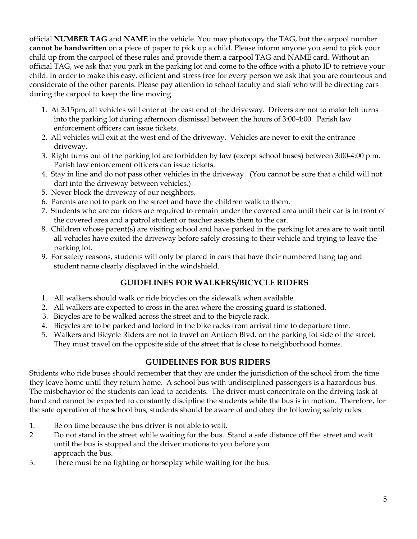official **NUMBER TAG** and **NAME** in the vehicle. You may photocopy the TAG, but the carpool number **cannot be handwritten** on a piece of paper to pick up a child. Please inform anyone you send to pick your child up from the carpool of these rules and provide them a carpool TAG and NAME card. Without an official TAG, we ask that you park in the parking lot and come to the office with a photo ID to retrieve your child. In order to make this easy, efficient and stress free for every person we ask that you are courteous and considerate of the other parents. Please pay attention to school faculty and staff who will be directing cars during the carpool to keep the line moving.

- 1. At 3:15pm, all vehicles will enter at the east end of the driveway. Drivers are not to make left turns into the parking lot during afternoon dismissal between the hours of 3:00-4:00. Parish law enforcement officers can issue tickets.
- 2. All vehicles will exit at the west end of the driveway. Vehicles are never to exit the entrance driveway.
- 3. Right turns out of the parking lot are forbidden by law (except school buses) between 3:00-4:00 p.m. Parish law enforcement officers can issue tickets.
- 4. Stay in line and do not pass other vehicles in the driveway. (You cannot be sure that a child will not dart into the driveway between vehicles.)
- 5. Never block the driveway of our neighbors.
- 6. Parents are not to park on the street and have the children walk to them.
- 7. Students who are car riders are required to remain under the covered area until their car is in front of the covered area and a patrol student or teacher assists them to the car.
- 8. Children whose parent(s) are visiting school and have parked in the parking lot area are to wait until all vehicles have exited the driveway before safely crossing to their vehicle and trying to leave the parking lot.
- 9. For safety reasons, students will only be placed in cars that have their numbered hang tag and student name clearly displayed in the windshield.

## **GUIDELINES FOR WALKERS/BICYCLE RIDERS**

- 1. All walkers should walk or ride bicycles on the sidewalk when available.
- 2. All walkers are expected to cross in the area where the crossing guard is stationed.
- 3. Bicycles are to be walked across the street and to the bicycle rack.
- 4. Bicycles are to be parked and locked in the bike racks from arrival time to departure time.
- 5. Walkers and Bicycle Riders are not to travel on Antioch Blvd. on the parking lot side of the street. They must travel on the opposite side of the street that is close to neighborhood homes.

## **GUIDELINES FOR BUS RIDERS**

Students who ride buses should remember that they are under the jurisdiction of the school from the time they leave home until they return home. A school bus with undisciplined passengers is a hazardous bus. The misbehavior of the students can lead to accidents. The driver must concentrate on the driving task at hand and cannot be expected to constantly discipline the students while the bus is in motion. Therefore, for the safe operation of the school bus, students should be aware of and obey the following safety rules:

- 1. Be on time because the bus driver is not able to wait.
- 2. Do not stand in the street while waiting for the bus. Stand a safe distance off the street and wait until the bus is stopped and the driver motions to you before you approach the bus.
- 3. There must be no fighting or horseplay while waiting for the bus.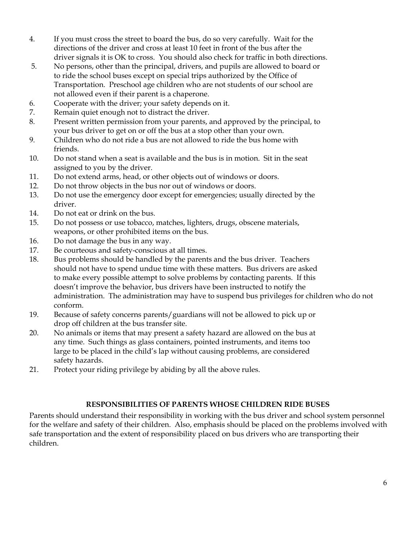- 4. If you must cross the street to board the bus, do so very carefully. Wait for the directions of the driver and cross at least 10 feet in front of the bus after the driver signals it is OK to cross. You should also check for traffic in both directions.
- 5. No persons, other than the principal, drivers, and pupils are allowed to board or to ride the school buses except on special trips authorized by the Office of Transportation. Preschool age children who are not students of our school are not allowed even if their parent is a chaperone.
- 6. Cooperate with the driver; your safety depends on it.
- 7. Remain quiet enough not to distract the driver.
- 8. Present written permission from your parents, and approved by the principal, to your bus driver to get on or off the bus at a stop other than your own.
- 9. Children who do not ride a bus are not allowed to ride the bus home with friends.
- 10. Do not stand when a seat is available and the bus is in motion. Sit in the seat assigned to you by the driver.
- 11. Do not extend arms, head, or other objects out of windows or doors.
- 12. Do not throw objects in the bus nor out of windows or doors.
- 13. Do not use the emergency door except for emergencies; usually directed by the driver.
- 14. Do not eat or drink on the bus.
- 15. Do not possess or use tobacco, matches, lighters, drugs, obscene materials, weapons, or other prohibited items on the bus.
- 16. Do not damage the bus in any way.
- 17. Be courteous and safety-conscious at all times.
- 18. Bus problems should be handled by the parents and the bus driver. Teachers should not have to spend undue time with these matters. Bus drivers are asked to make every possible attempt to solve problems by contacting parents. If this doesn't improve the behavior, bus drivers have been instructed to notify the administration. The administration may have to suspend bus privileges for children who do not conform.
- 19. Because of safety concerns parents/guardians will not be allowed to pick up or drop off children at the bus transfer site.
- 20. No animals or items that may present a safety hazard are allowed on the bus at any time. Such things as glass containers, pointed instruments, and items too large to be placed in the child's lap without causing problems, are considered safety hazards.
- 21. Protect your riding privilege by abiding by all the above rules.

## **RESPONSIBILITIES OF PARENTS WHOSE CHILDREN RIDE BUSES**

Parents should understand their responsibility in working with the bus driver and school system personnel for the welfare and safety of their children. Also, emphasis should be placed on the problems involved with safe transportation and the extent of responsibility placed on bus drivers who are transporting their children.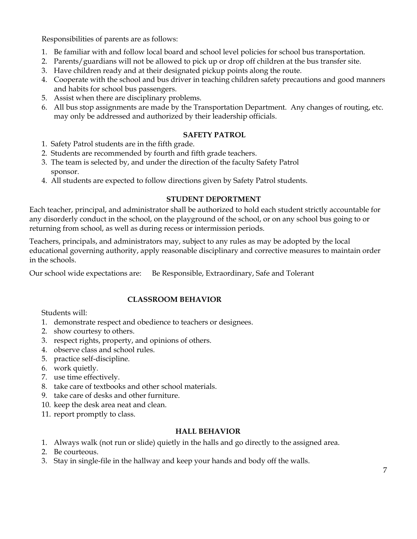Responsibilities of parents are as follows:

- 1. Be familiar with and follow local board and school level policies for school bus transportation.
- 2. Parents/guardians will not be allowed to pick up or drop off children at the bus transfer site.
- 3. Have children ready and at their designated pickup points along the route.
- 4. Cooperate with the school and bus driver in teaching children safety precautions and good manners and habits for school bus passengers.
- 5. Assist when there are disciplinary problems.
- 6. All bus stop assignments are made by the Transportation Department. Any changes of routing, etc. may only be addressed and authorized by their leadership officials.

#### **SAFETY PATROL**

- 1. Safety Patrol students are in the fifth grade.
- 2. Students are recommended by fourth and fifth grade teachers.
- 3. The team is selected by, and under the direction of the faculty Safety Patrol sponsor.
- 4. All students are expected to follow directions given by Safety Patrol students.

#### **STUDENT DEPORTMENT**

Each teacher, principal, and administrator shall be authorized to hold each student strictly accountable for any disorderly conduct in the school, on the playground of the school, or on any school bus going to or returning from school, as well as during recess or intermission periods.

Teachers, principals, and administrators may, subject to any rules as may be adopted by the local educational governing authority, apply reasonable disciplinary and corrective measures to maintain order in the schools.

Our school wide expectations are: Be Responsible, Extraordinary, Safe and Tolerant

#### **CLASSROOM BEHAVIOR**

Students will:

- 1. demonstrate respect and obedience to teachers or designees.
- 2. show courtesy to others.
- 3. respect rights, property, and opinions of others.
- 4. observe class and school rules.
- 5. practice self-discipline.
- 6. work quietly.
- 7. use time effectively.
- 8. take care of textbooks and other school materials.
- 9. take care of desks and other furniture.
- 10. keep the desk area neat and clean.
- 11. report promptly to class.

#### **HALL BEHAVIOR**

- 1. Always walk (not run or slide) quietly in the halls and go directly to the assigned area.
- 2. Be courteous.
- 3. Stay in single-file in the hallway and keep your hands and body off the walls.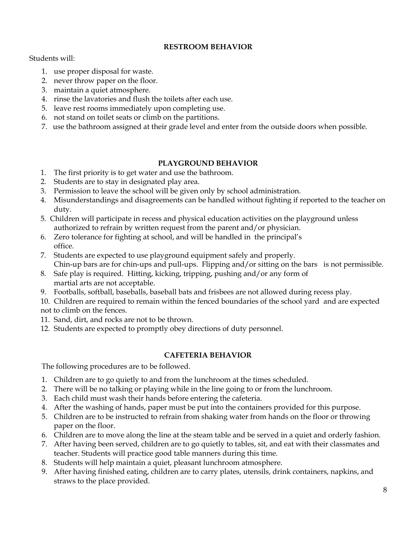#### **RESTROOM BEHAVIOR**

Students will:

- 1. use proper disposal for waste.
- 2. never throw paper on the floor.
- 3. maintain a quiet atmosphere.
- 4. rinse the lavatories and flush the toilets after each use.
- 5. leave rest rooms immediately upon completing use.
- 6. not stand on toilet seats or climb on the partitions.
- 7. use the bathroom assigned at their grade level and enter from the outside doors when possible.

#### **PLAYGROUND BEHAVIOR**

- 1. The first priority is to get water and use the bathroom.
- 2. Students are to stay in designated play area.
- 3. Permission to leave the school will be given only by school administration.
- 4. Misunderstandings and disagreements can be handled without fighting if reported to the teacher on duty.
- 5. Children will participate in recess and physical education activities on the playground unless authorized to refrain by written request from the parent and/or physician.
- 6. Zero tolerance for fighting at school, and will be handled in the principal's office.
- 7. Students are expected to use playground equipment safely and properly. Chin-up bars are for chin-ups and pull-ups. Flipping and/or sitting on the bars is not permissible.
- 8. Safe play is required. Hitting, kicking, tripping, pushing and/or any form of martial arts are not acceptable.
- 9. Footballs, softball, baseballs, baseball bats and frisbees are not allowed during recess play.

10. Children are required to remain within the fenced boundaries of the school yard and are expected not to climb on the fences.

- 11. Sand, dirt, and rocks are not to be thrown.
- 12. Students are expected to promptly obey directions of duty personnel.

#### **CAFETERIA BEHAVIOR**

The following procedures are to be followed.

- 1. Children are to go quietly to and from the lunchroom at the times scheduled.
- 2. There will be no talking or playing while in the line going to or from the lunchroom.
- 3. Each child must wash their hands before entering the cafeteria.
- 4. After the washing of hands, paper must be put into the containers provided for this purpose.
- 5. Children are to be instructed to refrain from shaking water from hands on the floor or throwing paper on the floor.
- 6. Children are to move along the line at the steam table and be served in a quiet and orderly fashion.
- 7. After having been served, children are to go quietly to tables, sit, and eat with their classmates and teacher. Students will practice good table manners during this time.
- 8. Students will help maintain a quiet, pleasant lunchroom atmosphere.
- 9. After having finished eating, children are to carry plates, utensils, drink containers, napkins, and straws to the place provided.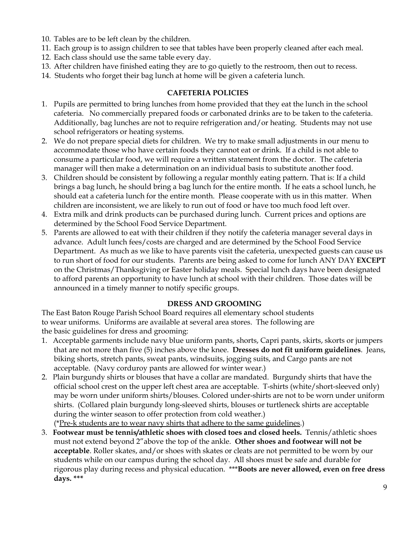- 10. Tables are to be left clean by the children.
- 11. Each group is to assign children to see that tables have been properly cleaned after each meal.
- 12. Each class should use the same table every day.
- 13. After children have finished eating they are to go quietly to the restroom, then out to recess.
- 14. Students who forget their bag lunch at home will be given a cafeteria lunch.

#### **CAFETERIA POLICIES**

- 1. Pupils are permitted to bring lunches from home provided that they eat the lunch in the school cafeteria. No commercially prepared foods or carbonated drinks are to be taken to the cafeteria. Additionally, bag lunches are not to require refrigeration and/or heating. Students may not use school refrigerators or heating systems.
- 2. We do not prepare special diets for children. We try to make small adjustments in our menu to accommodate those who have certain foods they cannot eat or drink. If a child is not able to consume a particular food, we will require a written statement from the doctor. The cafeteria manager will then make a determination on an individual basis to substitute another food.
- 3. Children should be consistent by following a regular monthly eating pattern. That is: If a child brings a bag lunch, he should bring a bag lunch for the entire month. If he eats a school lunch, he should eat a cafeteria lunch for the entire month. Please cooperate with us in this matter. When children are inconsistent, we are likely to run out of food or have too much food left over.
- 4. Extra milk and drink products can be purchased during lunch. Current prices and options are determined by the School Food Service Department.
- 5. Parents are allowed to eat with their children if they notify the cafeteria manager several days in advance. Adult lunch fees/costs are charged and are determined by the School Food Service Department. As much as we like to have parents visit the cafeteria, unexpected guests can cause us to run short of food for our students. Parents are being asked to come for lunch ANY DAY **EXCEPT** on the Christmas/Thanksgiving or Easter holiday meals. Special lunch days have been designated to afford parents an opportunity to have lunch at school with their children. Those dates will be announced in a timely manner to notify specific groups.

#### **DRESS AND GROOMING**

The East Baton Rouge Parish School Board requires all elementary school students to wear uniforms. Uniforms are available at several area stores. The following are the basic guidelines for dress and grooming:

- 1. Acceptable garments include navy blue uniform pants, shorts, Capri pants, skirts, skorts or jumpers that are not more than five (5) inches above the knee. **Dresses do not fit uniform guidelines**. Jeans, biking shorts, stretch pants, sweat pants, windsuits, jogging suits, and Cargo pants are not acceptable. (Navy corduroy pants are allowed for winter wear.)
- 2. Plain burgundy shirts or blouses that have a collar are mandated. Burgundy shirts that have the official school crest on the upper left chest area are acceptable. T-shirts (white/short-sleeved only) may be worn under uniform shirts/blouses. Colored under-shirts are not to be worn under uniform shirts. (Collared plain burgundy long-sleeved shirts, blouses or turtleneck shirts are acceptable during the winter season to offer protection from cold weather.)

(\*Pre-k students are to wear navy shirts that adhere to the same guidelines.)

3. **Footwear must be tennis/athletic shoes with closed toes and closed heels.** Tennis/athletic shoes must not extend beyond 2"above the top of the ankle. **Other shoes and footwear will not be acceptable**. Roller skates, and/or shoes with skates or cleats are not permitted to be worn by our students while on our campus during the school day. All shoes must be safe and durable for rigorous play during recess and physical education. \*\*\***Boots are never allowed, even on free dress days. \*\*\***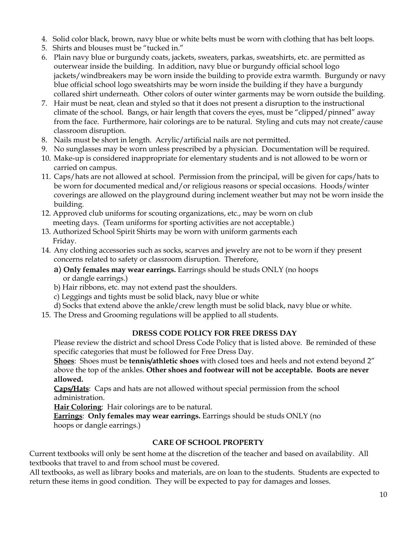- 4. Solid color black, brown, navy blue or white belts must be worn with clothing that has belt loops.
- 5. Shirts and blouses must be "tucked in."
- 6. Plain navy blue or burgundy coats, jackets, sweaters, parkas, sweatshirts, etc. are permitted as outerwear inside the building. In addition, navy blue or burgundy official school logo jackets/windbreakers may be worn inside the building to provide extra warmth. Burgundy or navy blue official school logo sweatshirts may be worn inside the building if they have a burgundy collared shirt underneath. Other colors of outer winter garments may be worn outside the building.
- 7. Hair must be neat, clean and styled so that it does not present a disruption to the instructional climate of the school. Bangs, or hair length that covers the eyes, must be "clipped/pinned" away from the face. Furthermore, hair colorings are to be natural. Styling and cuts may not create/cause classroom disruption.
- 8. Nails must be short in length. Acrylic/artificial nails are not permitted.
- 9. No sunglasses may be worn unless prescribed by a physician. Documentation will be required.
- 10. Make-up is considered inappropriate for elementary students and is not allowed to be worn or carried on campus.
- 11. Caps/hats are not allowed at school. Permission from the principal, will be given for caps/hats to be worn for documented medical and/or religious reasons or special occasions. Hoods/winter coverings are allowed on the playground during inclement weather but may not be worn inside the building.
- 12. Approved club uniforms for scouting organizations, etc., may be worn on club meeting days. (Team uniforms for sporting activities are not acceptable.)
- 13. Authorized School Spirit Shirts may be worn with uniform garments each Friday.
- 14. Any clothing accessories such as socks, scarves and jewelry are not to be worn if they present concerns related to safety or classroom disruption. Therefore,
	- a) **Only females may wear earrings.** Earrings should be studs ONLY (no hoops or dangle earrings.)
	- b) Hair ribbons, etc. may not extend past the shoulders.
	- c) Leggings and tights must be solid black, navy blue or white
	- d) Socks that extend above the ankle/crew length must be solid black, navy blue or white.
- 15. The Dress and Grooming regulations will be applied to all students.

#### **DRESS CODE POLICY FOR FREE DRESS DAY**

Please review the district and school Dress Code Policy that is listed above. Be reminded of these specific categories that must be followed for Free Dress Day.

**Shoes**: Shoes must be **tennis/athletic shoes** with closed toes and heels and not extend beyond 2" above the top of the ankles. **Other shoes and footwear will not be acceptable. Boots are never allowed.**

**Caps/Hats**: Caps and hats are not allowed without special permission from the school administration.

**Hair Coloring**: Hair colorings are to be natural.

**Earrings**: **Only females may wear earrings.** Earrings should be studs ONLY (no hoops or dangle earrings.)

#### **CARE OF SCHOOL PROPERTY**

Current textbooks will only be sent home at the discretion of the teacher and based on availability. All textbooks that travel to and from school must be covered.

All textbooks, as well as library books and materials, are on loan to the students. Students are expected to return these items in good condition. They will be expected to pay for damages and losses.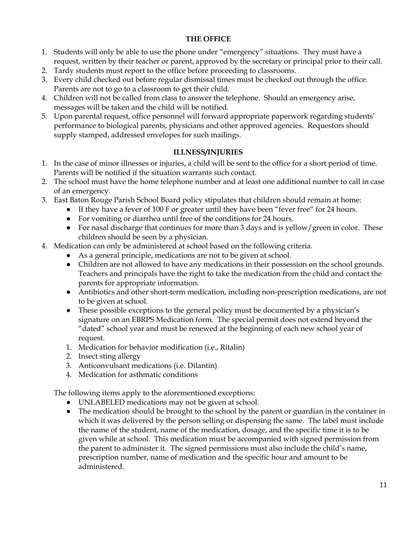#### **THE OFFICE**

- 1. Students will only be able to use the phone under "emergency" situations. They must have a request, written by their teacher or parent, approved by the secretary or principal prior to their call.
- 2. Tardy students must report to the office before proceeding to classrooms.
- 3. Every child checked out before regular dismissal times must be checked out through the office. Parents are not to go to a classroom to get their child.
- 4. Children will not be called from class to answer the telephone. Should an emergency arise, messages will be taken and the child will be notified.
- 5. Upon parental request, office personnel will forward appropriate paperwork regarding students' performance to biological parents, physicians and other approved agencies. Requestors should supply stamped, addressed envelopes for such mailings.

#### **ILLNESS/INJURIES**

- 1. In the case of minor illnesses or injuries, a child will be sent to the office for a short period of time. Parents will be notified if the situation warrants such contact.
- 2. The school must have the home telephone number and at least one additional number to call in case of an emergency.
- 3. East Baton Rouge Parish School Board policy stipulates that children should remain at home:
	- If they have a fever of 100 F or greater until they have been "fever free" for 24 hours.
	- For vomiting or diarrhea until free of the conditions for 24 hours.
	- For nasal discharge that continues for more than 3 days and is yellow/green in color. These children should be seen by a physician.
- 4. Medication can only be administered at school based on the following criteria.
	- As a general principle, medications are not to be given at school.
	- Children are not allowed to have any medications in their possession on the school grounds. Teachers and principals have the right to take the medication from the child and contact the parents for appropriate information.
	- Antibiotics and other short-term medication, including non-prescription medications, are not to be given at school.
	- These possible exceptions to the general policy must be documented by a physician's signature on an EBRPS Medication form. The special permit does not extend beyond the "dated" school year and must be renewed at the beginning of each new school year of request.
	- 1. Medication for behavior modification (i.e., Ritalin)
	- 2. Insect sting allergy
	- 3. Anticonvulsant medications (i.e. Dilantin)
	- 4. Medication for asthmatic conditions

The following items apply to the aforementioned exceptions:

- UNLABELED medications may not be given at school.
- The medication should be brought to the school by the parent or guardian in the container in which it was delivered by the person selling or dispensing the same. The label must include the name of the student, name of the medication, dosage, and the specific time it is to be given while at school. This medication must be accompanied with signed permission from the parent to administer it. The signed permissions must also include the child's name, prescription number, name of medication and the specific hour and amount to be administered.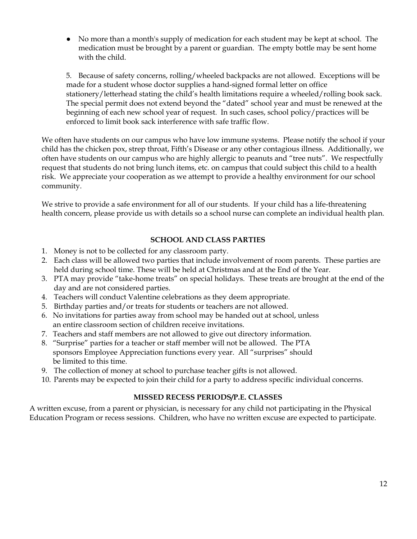● No more than a month's supply of medication for each student may be kept at school. The medication must be brought by a parent or guardian. The empty bottle may be sent home with the child.

5. Because of safety concerns, rolling/wheeled backpacks are not allowed. Exceptions will be made for a student whose doctor supplies a hand-signed formal letter on office stationery/letterhead stating the child's health limitations require a wheeled/rolling book sack. The special permit does not extend beyond the "dated" school year and must be renewed at the beginning of each new school year of request. In such cases, school policy/practices will be enforced to limit book sack interference with safe traffic flow.

We often have students on our campus who have low immune systems. Please notify the school if your child has the chicken pox, strep throat, Fifth's Disease or any other contagious illness. Additionally, we often have students on our campus who are highly allergic to peanuts and "tree nuts". We respectfully request that students do not bring lunch items, etc. on campus that could subject this child to a health risk. We appreciate your cooperation as we attempt to provide a healthy environment for our school community.

We strive to provide a safe environment for all of our students. If your child has a life-threatening health concern, please provide us with details so a school nurse can complete an individual health plan.

#### **SCHOOL AND CLASS PARTIES**

- 1. Money is not to be collected for any classroom party.
- 2. Each class will be allowed two parties that include involvement of room parents. These parties are held during school time. These will be held at Christmas and at the End of the Year.
- 3. PTA may provide "take-home treats" on special holidays. These treats are brought at the end of the day and are not considered parties.
- 4. Teachers will conduct Valentine celebrations as they deem appropriate.
- 5. Birthday parties and/or treats for students or teachers are not allowed.
- 6. No invitations for parties away from school may be handed out at school, unless an entire classroom section of children receive invitations.
- 7. Teachers and staff members are not allowed to give out directory information.
- 8. "Surprise" parties for a teacher or staff member will not be allowed. The PTA sponsors Employee Appreciation functions every year. All "surprises" should be limited to this time.
- 9. The collection of money at school to purchase teacher gifts is not allowed.
- 10. Parents may be expected to join their child for a party to address specific individual concerns.

#### **MISSED RECESS PERIODS/P.E. CLASSES**

A written excuse, from a parent or physician, is necessary for any child not participating in the Physical Education Program or recess sessions. Children, who have no written excuse are expected to participate.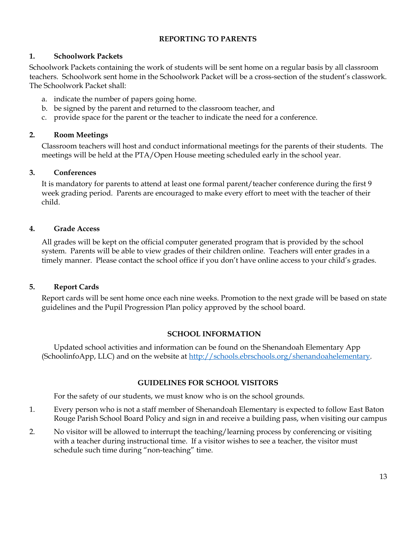#### **REPORTING TO PARENTS**

#### **1. Schoolwork Packets**

Schoolwork Packets containing the work of students will be sent home on a regular basis by all classroom teachers. Schoolwork sent home in the Schoolwork Packet will be a cross-section of the student's classwork. The Schoolwork Packet shall:

- a. indicate the number of papers going home.
- b. be signed by the parent and returned to the classroom teacher, and
- c. provide space for the parent or the teacher to indicate the need for a conference.

#### **2. Room Meetings**

Classroom teachers will host and conduct informational meetings for the parents of their students. The meetings will be held at the PTA/Open House meeting scheduled early in the school year.

#### **3. Conferences**

It is mandatory for parents to attend at least one formal parent/teacher conference during the first 9 week grading period. Parents are encouraged to make every effort to meet with the teacher of their child.

#### **4. Grade Access**

All grades will be kept on the official computer generated program that is provided by the school system. Parents will be able to view grades of their children online. Teachers will enter grades in a timely manner. Please contact the school office if you don't have online access to your child's grades.

#### **5. Report Cards**

Report cards will be sent home once each nine weeks. Promotion to the next grade will be based on state guidelines and the Pupil Progression Plan policy approved by the school board.

#### **SCHOOL INFORMATION**

Updated school activities and information can be found on the Shenandoah Elementary App (SchoolinfoApp, LLC) and on the website at [http://schools.ebrschools.org/shenandoahelementary.](http://schools.ebrschools.org/shenandoahelementary)

#### **GUIDELINES FOR SCHOOL VISITORS**

For the safety of our students, we must know who is on the school grounds.

- 1. Every person who is not a staff member of Shenandoah Elementary is expected to follow East Baton Rouge Parish School Board Policy and sign in and receive a building pass, when visiting our campus
- 2. No visitor will be allowed to interrupt the teaching/learning process by conferencing or visiting with a teacher during instructional time. If a visitor wishes to see a teacher, the visitor must schedule such time during "non-teaching" time.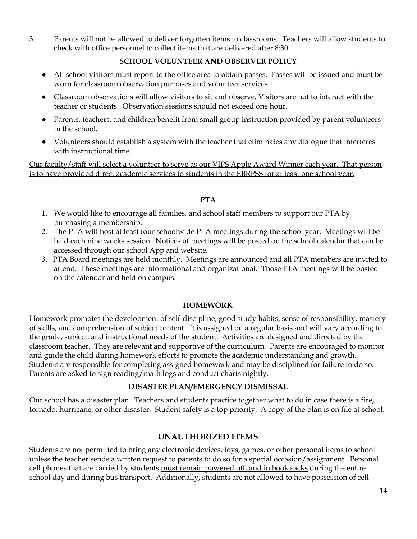3. Parents will not be allowed to deliver forgotten items to classrooms. Teachers will allow students to check with office personnel to collect items that are delivered after 8:30.

#### **SCHOOL VOLUNTEER AND OBSERVER POLICY**

- All school visitors must report to the office area to obtain passes. Passes will be issued and must be worn for classroom observation purposes and volunteer services.
- Classroom observations will allow visitors to sit and observe. Visitors are not to interact with the teacher or students. Observation sessions should not exceed one hour.
- Parents, teachers, and children benefit from small group instruction provided by parent volunteers in the school.
- Volunteers should establish a system with the teacher that eliminates any dialogue that interferes with instructional time.

Our faculty/staff will select a volunteer to serve as our VIPS Apple Award Winner each year. That person is to have provided direct academic services to students in the EBRPSS for at least one school year.

#### **PTA**

- 1. We would like to encourage all families, and school staff members to support our PTA by purchasing a membership.
- 2. The PTA will host at least four schoolwide PTA meetings during the school year. Meetings will be held each nine weeks session. Notices of meetings will be posted on the school calendar that can be accessed through our school App and website.
- 3. PTA Board meetings are held monthly. Meetings are announced and all PTA members are invited to attend. These meetings are informational and organizational. Those PTA meetings will be posted on the calendar and held on campus.

#### **HOMEWORK**

Homework promotes the development of self-discipline, good study habits, sense of responsibility, mastery of skills, and comprehension of subject content. It is assigned on a regular basis and will vary according to the grade, subject, and instructional needs of the student. Activities are designed and directed by the classroom teacher. They are relevant and supportive of the curriculum. Parents are encouraged to monitor and guide the child during homework efforts to promote the academic understanding and growth. Students are responsible for completing assigned homework and may be disciplined for failure to do so. Parents are asked to sign reading/math logs and conduct charts nightly.

#### **DISASTER PLAN/EMERGENCY DISMISSAL**

Our school has a disaster plan. Teachers and students practice together what to do in case there is a fire, tornado, hurricane, or other disaster. Student safety is a top priority. A copy of the plan is on file at school.

## **UNAUTHORIZED ITEMS**

Students are not permitted to bring any electronic devices, toys, games, or other personal items to school unless the teacher sends a written request to parents to do so for a special occasion/assignment. Personal cell phones that are carried by students must remain powered off, and in book sacks during the entire school day and during bus transport. Additionally, students are not allowed to have possession of cell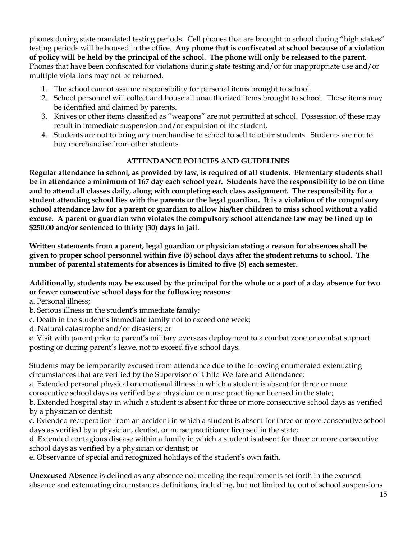phones during state mandated testing periods. Cell phones that are brought to school during "high stakes" testing periods will be housed in the office. **Any phone that is confiscated at school because of a violation** of policy will be held by the principal of the school. The phone will only be released to the parent. Phones that have been confiscated for violations during state testing and/or for inappropriate use and/or multiple violations may not be returned.

- 1. The school cannot assume responsibility for personal items brought to school.
- 2. School personnel will collect and house all unauthorized items brought to school. Those items may be identified and claimed by parents.
- 3. Knives or other items classified as "weapons" are not permitted at school. Possession of these may result in immediate suspension and/or expulsion of the student.
- 4. Students are not to bring any merchandise to school to sell to other students. Students are not to buy merchandise from other students.

## **ATTENDANCE POLICIES AND GUIDELINES**

**Regular attendance in school, as provided by law, is required of all students. Elementary students shall** be in attendance a minimum of 167 day each school year. Students have the responsibility to be on time **and to attend all classes daily, along with completing each class assignment. The responsibility for a** student attending school lies with the parents or the legal guardian. It is a violation of the compulsory school attendance law for a parent or guardian to allow his/her children to miss school without a valid **excuse. A parent or guardian who violates the compulsory school attendance law may be fined up to \$250.00 and/or sentenced to thirty (30) days in jail.**

**Written statements from a parent, legal guardian or physician stating a reason for absences shall be given to proper school personnel within five (5) school days after the student returns to school. The number of parental statements for absences is limited to five (5) each semester.**

Additionally, students may be excused by the principal for the whole or a part of a day absence for two **or fewer consecutive school days for the following reasons:**

a. Personal illness;

- b. Serious illness in the student's immediate family;
- c. Death in the student's immediate family not to exceed one week;
- d. Natural catastrophe and/or disasters; or

e. Visit with parent prior to parent's military overseas deployment to a combat zone or combat support posting or during parent's leave, not to exceed five school days.

Students may be temporarily excused from attendance due to the following enumerated extenuating circumstances that are verified by the Supervisor of Child Welfare and Attendance:

a. Extended personal physical or emotional illness in which a student is absent for three or more consecutive school days as verified by a physician or nurse practitioner licensed in the state;

b. Extended hospital stay in which a student is absent for three or more consecutive school days as verified by a physician or dentist;

c. Extended recuperation from an accident in which a student is absent for three or more consecutive school days as verified by a physician, dentist, or nurse practitioner licensed in the state;

d. Extended contagious disease within a family in which a student is absent for three or more consecutive school days as verified by a physician or dentist; or

e. Observance of special and recognized holidays of the student's own faith.

**Unexcused Absence** is defined as any absence not meeting the requirements set forth in the excused absence and extenuating circumstances definitions, including, but not limited to, out of school suspensions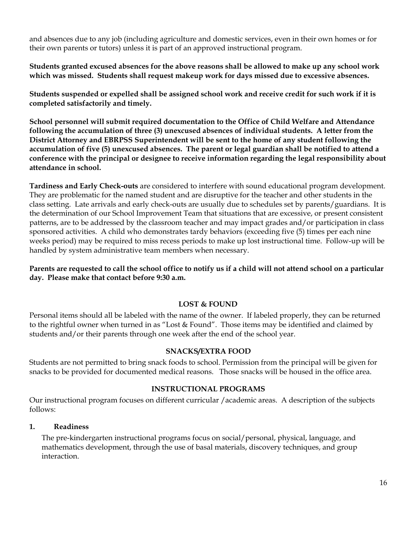and absences due to any job (including agriculture and domestic services, even in their own homes or for their own parents or tutors) unless it is part of an approved instructional program.

**Students granted excused absences for the above reasons shall be allowed to make up any school work which was missed. Students shall request makeup work for days missed due to excessive absences.**

Students suspended or expelled shall be assigned school work and receive credit for such work if it is **completed satisfactorily and timely.**

**School personnel will submit required documentation to the Office of Child Welfare and Attendance following the accumulation of three (3) unexcused absences of individual students. A letter from the District Attorney and EBRPSS Superintendent will be sent to the home of any student following the accumulation of five (5) unexcused absences. The parent or legal guardian shall be notified to attend a conference with the principal or designee to receive information regarding the legal responsibility about attendance in school.**

**Tardiness and Early Check-outs** are considered to interfere with sound educational program development. They are problematic for the named student and are disruptive for the teacher and other students in the class setting. Late arrivals and early check-outs are usually due to schedules set by parents/guardians. It is the determination of our School Improvement Team that situations that are excessive, or present consistent patterns, are to be addressed by the classroom teacher and may impact grades and/or participation in class sponsored activities. A child who demonstrates tardy behaviors (exceeding five (5) times per each nine weeks period) may be required to miss recess periods to make up lost instructional time. Follow-up will be handled by system administrative team members when necessary.

Parents are requested to call the school office to notify us if a child will not attend school on a particular **day. Please make that contact before 9:30 a.m.**

#### **LOST & FOUND**

Personal items should all be labeled with the name of the owner. If labeled properly, they can be returned to the rightful owner when turned in as "Lost & Found". Those items may be identified and claimed by students and/or their parents through one week after the end of the school year.

#### **SNACKS/EXTRA FOOD**

Students are not permitted to bring snack foods to school. Permission from the principal will be given for snacks to be provided for documented medical reasons. Those snacks will be housed in the office area.

#### **INSTRUCTIONAL PROGRAMS**

Our instructional program focuses on different curricular /academic areas. A description of the subjects follows:

#### **1. Readiness**

The pre-kindergarten instructional programs focus on social/personal, physical, language, and mathematics development, through the use of basal materials, discovery techniques, and group interaction.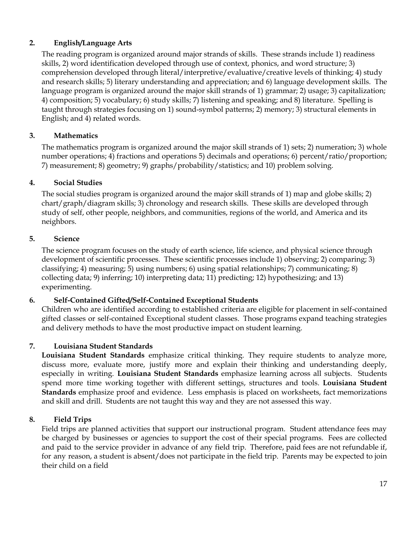## **2. English/Language Arts**

The reading program is organized around major strands of skills. These strands include 1) readiness skills, 2) word identification developed through use of context, phonics, and word structure; 3) comprehension developed through literal/interpretive/evaluative/creative levels of thinking; 4) study and research skills; 5) literary understanding and appreciation; and 6) language development skills. The language program is organized around the major skill strands of 1) grammar; 2) usage; 3) capitalization; 4) composition; 5) vocabulary; 6) study skills; 7) listening and speaking; and 8) literature. Spelling is taught through strategies focusing on 1) sound-symbol patterns; 2) memory; 3) structural elements in English; and 4) related words.

#### **3. Mathematics**

The mathematics program is organized around the major skill strands of 1) sets; 2) numeration; 3) whole number operations; 4) fractions and operations 5) decimals and operations; 6) percent/ratio/proportion; 7) measurement; 8) geometry; 9) graphs/probability/statistics; and 10) problem solving.

## **4. Social Studies**

The social studies program is organized around the major skill strands of 1) map and globe skills; 2) chart/graph/diagram skills; 3) chronology and research skills. These skills are developed through study of self, other people, neighbors, and communities, regions of the world, and America and its neighbors.

#### **5. Science**

The science program focuses on the study of earth science, life science, and physical science through development of scientific processes. These scientific processes include 1) observing; 2) comparing; 3) classifying; 4) measuring; 5) using numbers; 6) using spatial relationships; 7) communicating; 8) collecting data; 9) inferring; 10) interpreting data; 11) predicting; 12) hypothesizing; and 13) experimenting.

#### **6. Self-Contained Gifted/Self-Contained Exceptional Students**

Children who are identified according to established criteria are eligible for placement in self-contained gifted classes or self-contained Exceptional student classes. Those programs expand teaching strategies and delivery methods to have the most productive impact on student learning.

## **7. Louisiana Student Standards**

**Louisiana Student Standards** emphasize critical thinking. They require students to analyze more, discuss more, evaluate more, justify more and explain their thinking and understanding deeply, especially in writing. **Louisiana Student Standards** emphasize learning across all subjects. Students spend more time working together with different settings, structures and tools. **Louisiana Student Standards** emphasize proof and evidence. Less emphasis is placed on worksheets, fact memorizations and skill and drill. Students are not taught this way and they are not assessed this way.

#### **8. Field Trips**

Field trips are planned activities that support our instructional program. Student attendance fees may be charged by businesses or agencies to support the cost of their special programs. Fees are collected and paid to the service provider in advance of any field trip. Therefore, paid fees are not refundable if, for any reason, a student is absent/does not participate in the field trip. Parents may be expected to join their child on a field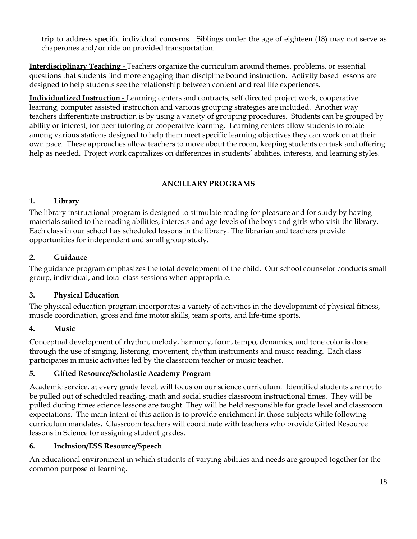trip to address specific individual concerns. Siblings under the age of eighteen (18) may not serve as chaperones and/or ride on provided transportation.

**Interdisciplinary Teaching** - Teachers organize the curriculum around themes, problems, or essential questions that students find more engaging than discipline bound instruction. Activity based lessons are designed to help students see the relationship between content and real life experiences.

**Individualized Instruction** - Learning centers and contracts, self directed project work, cooperative learning, computer assisted instruction and various grouping strategies are included. Another way teachers differentiate instruction is by using a variety of grouping procedures. Students can be grouped by ability or interest, for peer tutoring or cooperative learning. Learning centers allow students to rotate among various stations designed to help them meet specific learning objectives they can work on at their own pace. These approaches allow teachers to move about the room, keeping students on task and offering help as needed. Project work capitalizes on differences in students' abilities, interests, and learning styles.

#### **ANCILLARY PROGRAMS**

#### **1. Library**

The library instructional program is designed to stimulate reading for pleasure and for study by having materials suited to the reading abilities, interests and age levels of the boys and girls who visit the library. Each class in our school has scheduled lessons in the library. The librarian and teachers provide opportunities for independent and small group study.

#### **2. Guidance**

The guidance program emphasizes the total development of the child. Our school counselor conducts small group, individual, and total class sessions when appropriate.

#### **3. Physical Education**

The physical education program incorporates a variety of activities in the development of physical fitness, muscle coordination, gross and fine motor skills, team sports, and life-time sports.

#### **4. Music**

Conceptual development of rhythm, melody, harmony, form, tempo, dynamics, and tone color is done through the use of singing, listening, movement, rhythm instruments and music reading. Each class participates in music activities led by the classroom teacher or music teacher.

#### **5. Gifted Resource/Scholastic Academy Program**

Academic service, at every grade level, will focus on our science curriculum. Identified students are not to be pulled out of scheduled reading, math and social studies classroom instructional times. They will be pulled during times science lessons are taught. They will be held responsible for grade level and classroom expectations. The main intent of this action is to provide enrichment in those subjects while following curriculum mandates. Classroom teachers will coordinate with teachers who provide Gifted Resource lessons in Science for assigning student grades.

#### **6. Inclusion/ESS Resource/Speech**

An educational environment in which students of varying abilities and needs are grouped together for the common purpose of learning.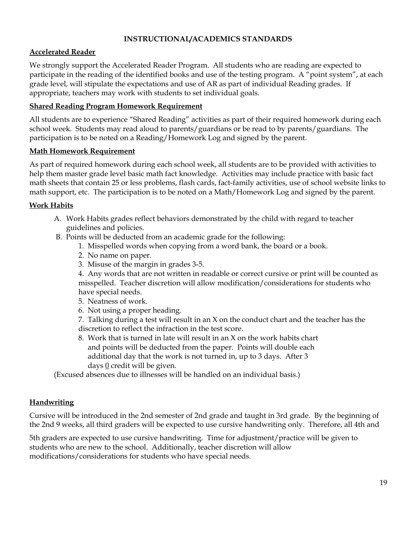#### **INSTRUCTIONAL/ACADEMICS STANDARDS**

#### **Accelerated Reader**

We strongly support the Accelerated Reader Program. All students who are reading are expected to participate in the reading of the identified books and use of the testing program. A "point system", at each grade level, will stipulate the expectations and use of AR as part of individual Reading grades. If appropriate, teachers may work with students to set individual goals.

#### **Shared Reading Program Homework Requirement**

All students are to experience "Shared Reading" activities as part of their required homework during each school week. Students may read aloud to parents/guardians or be read to by parents/guardians. The participation is to be noted on a Reading/Homework Log and signed by the parent.

#### **Math Homework Requirement**

As part of required homework during each school week, all students are to be provided with activities to help them master grade level basic math fact knowledge. Activities may include practice with basic fact math sheets that contain 25 or less problems, flash cards, fact-family activities, use of school website links to math support, etc. The participation is to be noted on a Math/Homework Log and signed by the parent.

#### **Work Habits**

- A. Work Habits grades reflect behaviors demonstrated by the child with regard to teacher guidelines and policies.
- B. Points will be deducted from an academic grade for the following:
	- 1. Misspelled words when copying from a word bank, the board or a book.
	- 2. No name on paper.
	- 3. Misuse of the margin in grades 3-5.

4. Any words that are not written in readable or correct cursive or print will be counted as misspelled. Teacher discretion will allow modification/considerations for students who have special needs.

- 5. Neatness of work.
- 6. Not using a proper heading.

7. Talking during a test will result in an X on the conduct chart and the teacher has the discretion to reflect the infraction in the test score.

8. Work that is turned in late will result in an X on the work habits chart and points will be deducted from the paper. Points will double each additional day that the work is not turned in, up to 3 days. After 3 days  $\underline{0}$  credit will be given.

(Excused absences due to illnesses will be handled on an individual basis.)

#### **Handwriting**

Cursive will be introduced in the 2nd semester of 2nd grade and taught in 3rd grade. By the beginning of the 2nd 9 weeks, all third graders will be expected to use cursive handwriting only. Therefore, all 4th and

5th graders are expected to use cursive handwriting. Time for adjustment/practice will be given to students who are new to the school. Additionally, teacher discretion will allow modifications/considerations for students who have special needs.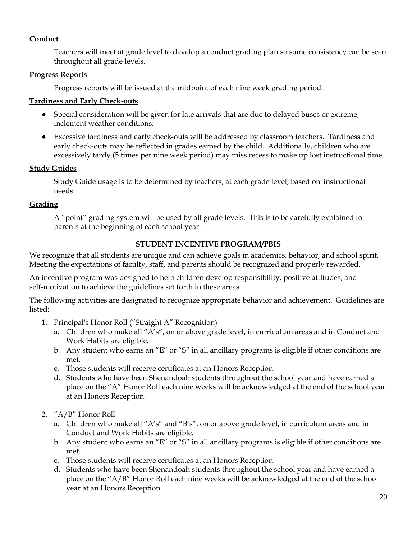#### **Conduct**

Teachers will meet at grade level to develop a conduct grading plan so some consistency can be seen throughout all grade levels.

#### **Progress Reports**

Progress reports will be issued at the midpoint of each nine week grading period.

#### **Tardiness and Early Check-outs**

- Special consideration will be given for late arrivals that are due to delayed buses or extreme, inclement weather conditions.
- Excessive tardiness and early check-outs will be addressed by classroom teachers. Tardiness and early check-outs may be reflected in grades earned by the child. Additionally, children who are excessively tardy (5 times per nine week period) may miss recess to make up lost instructional time.

#### **Study Guides**

Study Guide usage is to be determined by teachers, at each grade level, based on instructional needs.

#### **Grading**

A "point" grading system will be used by all grade levels. This is to be carefully explained to parents at the beginning of each school year.

#### **STUDENT INCENTIVE PROGRAM/PBIS**

We recognize that all students are unique and can achieve goals in academics, behavior, and school spirit. Meeting the expectations of faculty, staff, and parents should be recognized and properly rewarded.

An incentive program was designed to help children develop responsibility, positive attitudes, and self-motivation to achieve the guidelines set forth in these areas.

The following activities are designated to recognize appropriate behavior and achievement. Guidelines are listed:

- 1. Principal's Honor Roll ("Straight A" Recognition)
	- a. Children who make all "A's", on or above grade level, in curriculum areas and in Conduct and Work Habits are eligible.
	- b. Any student who earns an "E" or "S" in all ancillary programs is eligible if other conditions are met.
	- c. Those students will receive certificates at an Honors Reception.
	- d. Students who have been Shenandoah students throughout the school year and have earned a place on the "A" Honor Roll each nine weeks will be acknowledged at the end of the school year at an Honors Reception.
- 2. "A/B" Honor Roll
	- a. Children who make all "A's" and "B's", on or above grade level, in curriculum areas and in Conduct and Work Habits are eligible.
	- b. Any student who earns an "E" or "S" in all ancillary programs is eligible if other conditions are met.
	- c. Those students will receive certificates at an Honors Reception.
	- d. Students who have been Shenandoah students throughout the school year and have earned a place on the "A/B" Honor Roll each nine weeks will be acknowledged at the end of the school year at an Honors Reception.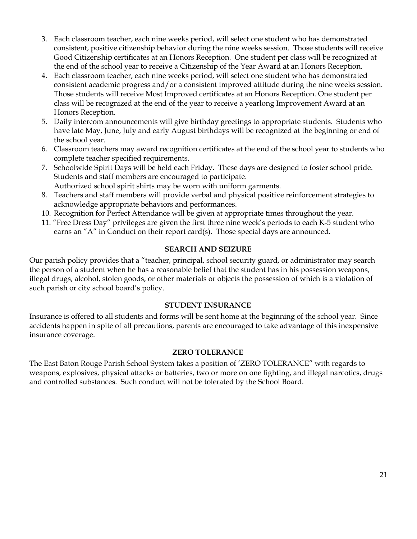- 3. Each classroom teacher, each nine weeks period, will select one student who has demonstrated consistent, positive citizenship behavior during the nine weeks session. Those students will receive Good Citizenship certificates at an Honors Reception. One student per class will be recognized at the end of the school year to receive a Citizenship of the Year Award at an Honors Reception.
- 4. Each classroom teacher, each nine weeks period, will select one student who has demonstrated consistent academic progress and/or a consistent improved attitude during the nine weeks session. Those students will receive Most Improved certificates at an Honors Reception. One student per class will be recognized at the end of the year to receive a yearlong Improvement Award at an Honors Reception.
- 5. Daily intercom announcements will give birthday greetings to appropriate students. Students who have late May, June, July and early August birthdays will be recognized at the beginning or end of the school year.
- 6. Classroom teachers may award recognition certificates at the end of the school year to students who complete teacher specified requirements.
- 7. Schoolwide Spirit Days will be held each Friday. These days are designed to foster school pride. Students and staff members are encouraged to participate. Authorized school spirit shirts may be worn with uniform garments.
- 8. Teachers and staff members will provide verbal and physical positive reinforcement strategies to acknowledge appropriate behaviors and performances.
- 10. Recognition for Perfect Attendance will be given at appropriate times throughout the year.
- 11. "Free Dress Day" privileges are given the first three nine week's periods to each K-5 student who earns an "A" in Conduct on their report card(s). Those special days are announced.

## **SEARCH AND SEIZURE**

Our parish policy provides that a "teacher, principal, school security guard, or administrator may search the person of a student when he has a reasonable belief that the student has in his possession weapons, illegal drugs, alcohol, stolen goods, or other materials or objects the possession of which is a violation of such parish or city school board's policy.

#### **STUDENT INSURANCE**

Insurance is offered to all students and forms will be sent home at the beginning of the school year. Since accidents happen in spite of all precautions, parents are encouraged to take advantage of this inexpensive insurance coverage.

#### **ZERO TOLERANCE**

The East Baton Rouge Parish School System takes a position of 'ZERO TOLERANCE" with regards to weapons, explosives, physical attacks or batteries, two or more on one fighting, and illegal narcotics, drugs and controlled substances. Such conduct will not be tolerated by the School Board.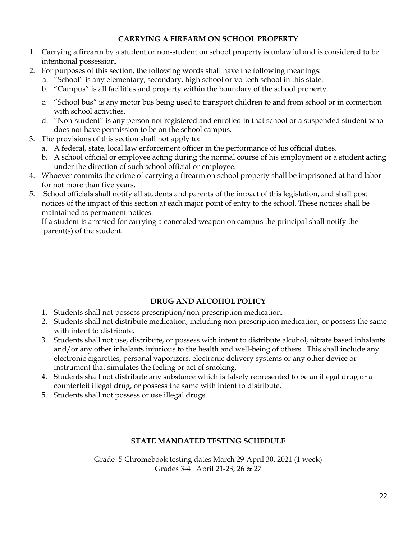#### **CARRYING A FIREARM ON SCHOOL PROPERTY**

- 1. Carrying a firearm by a student or non-student on school property is unlawful and is considered to be intentional possession.
- 2. For purposes of this section, the following words shall have the following meanings:
	- a. "School" is any elementary, secondary, high school or vo-tech school in this state.
	- b. "Campus" is all facilities and property within the boundary of the school property.
	- c. "School bus" is any motor bus being used to transport children to and from school or in connection with school activities.
	- d. "Non-student" is any person not registered and enrolled in that school or a suspended student who does not have permission to be on the school campus.
- 3. The provisions of this section shall not apply to:
	- a. A federal, state, local law enforcement officer in the performance of his official duties.
	- b. A school official or employee acting during the normal course of his employment or a student acting under the direction of such school official or employee.
- 4. Whoever commits the crime of carrying a firearm on school property shall be imprisoned at hard labor for not more than five years.
- 5. School officials shall notify all students and parents of the impact of this legislation, and shall post notices of the impact of this section at each major point of entry to the school. These notices shall be maintained as permanent notices.

If a student is arrested for carrying a concealed weapon on campus the principal shall notify the parent(s) of the student.

## **DRUG AND ALCOHOL POLICY**

- 1. Students shall not possess prescription/non-prescription medication.
- 2. Students shall not distribute medication, including non-prescription medication, or possess the same with intent to distribute.
- 3. Students shall not use, distribute, or possess with intent to distribute alcohol, nitrate based inhalants and/or any other inhalants injurious to the health and well-being of others. This shall include any electronic cigarettes, personal vaporizers, electronic delivery systems or any other device or instrument that simulates the feeling or act of smoking.
- 4. Students shall not distribute any substance which is falsely represented to be an illegal drug or a counterfeit illegal drug, or possess the same with intent to distribute.
- 5. Students shall not possess or use illegal drugs.

#### **STATE MANDATED TESTING SCHEDULE**

Grade 5 Chromebook testing dates March 29-April 30, 2021 (1 week) Grades 3-4 April 21-23, 26 & 27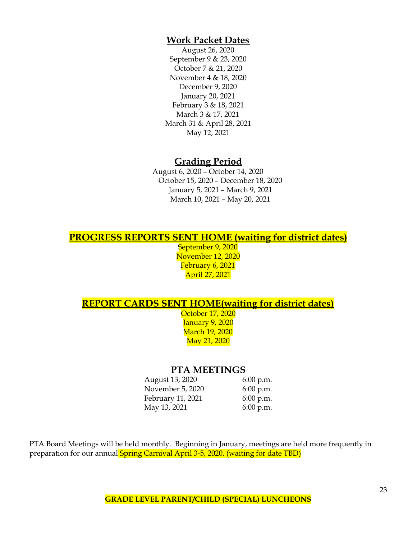## **Work Packet Dates**

August 26, 2020 September 9 & 23, 2020 October 7 & 21, 2020 November 4 & 18, 2020 December 9, 2020 January 20, 2021 February 3 & 18, 2021 March 3 & 17, 2021 March 31 & April 28, 2021 May 12, 2021

## **Grading Period**

August 6, 2020 – October 14, 2020 October 15, 2020 – December 18, 2020 January 5, 2021 – March 9, 2021 March 10, 2021 – May 20, 2021

## **PROGRESS REPORTS SENT HOME (waiting for district dates)**

September 9, 2020 November 12, 2020 February 6, 2021 April 27, 2021

## **REPORT CARDS SENT HOME(waiting for district dates)**

October 17, 2020 January 9, 2020 March 19, 2020 May 21, 2020

## **PTA MEETINGS**

August 13, 2020 6:00 p.m. November 5, 2020 6:00 p.m. February 11, 2021 6:00 p.m. May 13, 2021 6:00 p.m.

PTA Board Meetings will be held monthly. Beginning in January, meetings are held more frequently in preparation for our annual **Spring Carnival April 3-5, 2020. (waiting for date TBD)**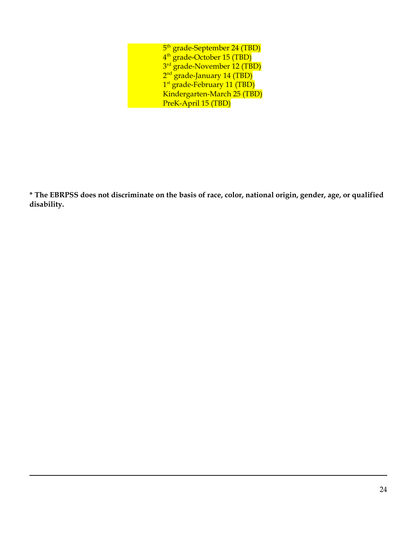| 5 <sup>th</sup> grade-September 24 (TBD) |
|------------------------------------------|
| 4 <sup>th</sup> grade-October 15 (TBD)   |
| 3 <sup>rd</sup> grade-November 12 (TBD)  |
| $2nd$ grade-January 14 (TBD)             |
| 1 <sup>st</sup> grade-February 11 (TBD)  |
| Kindergarten-March 25 (TBD)              |
| PreK-April 15 (TBD)                      |

\* The EBRPSS does not discriminate on the basis of race, color, national origin, gender, age, or qualified **disability.**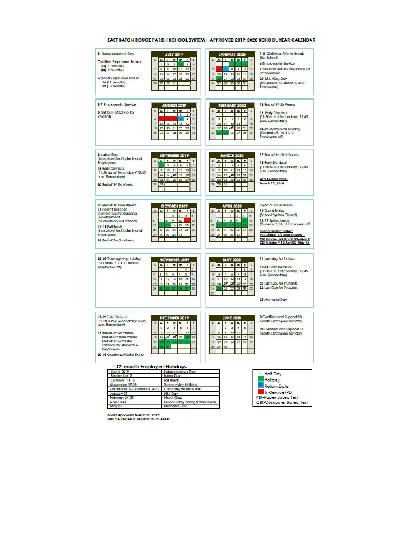| 4 Independence Day<br>Certified Employees Return<br>15(11 months)<br>22(10 months)<br>Support Employees Return<br>14 (11 monits)<br>23 (10 months)                                                                           | <b>JULY 2019</b><br>TWHIS<br>M<br>显<br>$\overline{\mathbf{2}}$<br>a.<br>s.<br>۲<br>ä<br>10<br>12 <sup>°</sup><br>B3<br>X<br>ø<br>Ŷ.<br>m<br>17<br>16<br>19<br>20<br>15<br>16<br>14<br>22<br>困<br>24<br>饰<br>CK.<br>里<br>27<br>22<br>30<br>$\overline{\mathbf{u}}$<br>78                       | JANUARY 2020<br><b>MINN</b><br>s.<br>s.<br>ä<br>ä,<br>19<br>m<br>s.<br>a<br>÷.<br>17<br>$12^{12}$<br>14<br>15<br>14<br>18<br>13<br>157<br>21<br>22<br>23<br>34<br>遇<br>26<br>27<br>28<br>罗<br>30<br>$\overline{\mathbf{3}}$                                                                         | 1-8 Christmas/Winter Break<br>(No School)<br>4 Employee In-Service<br>7 Students Return-Beginning of<br>2 <sup>nd</sup> Semester<br>20 M.L. King Day<br>(No School for Students and<br>Employees)                                                            |
|------------------------------------------------------------------------------------------------------------------------------------------------------------------------------------------------------------------------------|-----------------------------------------------------------------------------------------------------------------------------------------------------------------------------------------------------------------------------------------------------------------------------------------------|-----------------------------------------------------------------------------------------------------------------------------------------------------------------------------------------------------------------------------------------------------------------------------------------------------|--------------------------------------------------------------------------------------------------------------------------------------------------------------------------------------------------------------------------------------------------------------|
| 5-7 Employee In-Service<br><b>8 First Day of School for</b><br><b>Studients</b>                                                                                                                                              | <b>AUGUST 2019</b><br>TWh FS<br>M.<br>槛<br>т<br>2 <sup>1</sup><br>$\mathbf{B}$<br>Đ.<br>tio<br>13 14<br>15<br>17<br>12<br>16<br>11<br>19<br>30 21<br>$\overline{\mathbf{z}}$<br><b>za</b><br>24<br>18<br>35<br>26<br>27<br>28<br>$\overline{\boldsymbol{x}}$<br>30<br>31                      | FEBRUARY 2020<br>н<br>TW<br>k.<br>The F.<br>s<br>Ħ.<br>ÿ<br>Ú.<br>Ś.<br>s<br>з<br>d,<br>ä<br>BO<br>n<br>12<br>13<br>$15 -$<br>s,<br>14<br>再<br>1P<br>18<br>22<br>21<br>$\overline{\mathbb{Z}}$<br>18<br>23<br>26<br>27<br>25<br>29                                                                  | 18 End of 4th Str. Weeks<br><b>19 Early Dismissair</b><br>(11:30 a.m./ Secondary/ 12:45<br>p.m. Elementary)<br>24-25 Mardi Gras Holiday<br>(Students, 9, 10, 11, 12)<br>Employees off)                                                                       |
| 2 Laboribay<br>(No school for Students and<br><b>Employees</b><br>18 Early Dismissal<br>(11:30 a.m./ Secondary/ 12:45<br>p.m. Bementary)<br>20 End of 1st Six Weeks                                                          | SEPTEMBER 2019<br>SMINDI<br>s<br>Ŧ<br>з<br>d.<br>5<br>d.<br>y.<br>ø<br>K.<br>Ħ<br>12<br>13<br>14<br>ŋ.<br>16<br>17 16<br>w<br><b>SO</b><br>15<br>21<br>żi<br>24<br>25<br>5ś<br><b>W</b><br>22<br>58<br>39<br>30                                                                               | <b>MARCH 2020</b><br>M<br>۳.<br>W<br>Th:<br><b>F</b><br>s.<br>ă<br>ğ.<br>3<br>$\overline{A}$<br>5<br>$\delta$<br>学<br><b>B</b><br>10<br>$\overline{11}$<br>13<br>Ϋ.<br>12<br>14<br><b>Jaf</b><br>14<br>17<br>17<br>30<br>21<br>15<br>23<br>24<br>25<br>24<br>$\overline{x}$<br>22<br>29<br>30<br>31 | 17 End of 3- Nine Weeks<br>18 Early Dismissal<br>(11:30 a.m./ Secondary/ 12:45<br>p.m. Elementary)<br><b>ACT Testing Date:</b><br>March 17, 2020                                                                                                             |
| 10 End of 1st Nine Weeks<br>11 Parent Teacher<br>Conference/Professional<br>Development<br>(Students do not attend)<br>14-16 Fall Brack<br>INo school for Students and<br><b>Employees</b><br><b>31 End of 2nd So. Weeks</b> | OCTOBER 2019<br>s.<br>M.<br>The 1<br>т<br>W<br>FIS<br>ä.<br>5<br>$\frac{1}{2}$<br>B.<br>ø<br>g,<br>10<br>ý<br>12<br>$\overline{U}$<br>19 <sup>°</sup><br>in<br>18<br>32.<br>23<br>24<br>器<br>26<br>55<br>m<br>22<br>m<br>æ<br>30<br>31                                                        | <b>APRIL 2020</b><br>$5 - M$<br>TW<br>The F<br>$\mathbf{g}$<br>ž.<br>T<br>в<br>$\ddot{\phantom{a}}$<br>a<br>ÿ.<br>ÿ.<br>ż.<br>$\mathbf{11}$<br>12<br>38<br>25<br>19<br>添<br>71<br>22<br>23<br>24<br>23<br>25<br>29<br>Y.                                                                            | 7 End of 5th Sto Weeks<br>10 Good Friday<br>(School System Closed)<br>13-17 Spring Break<br>(Students, 9, 10, 11 Employees off)<br>Sodna Testina Dates:<br>PST Grades 3-4 April 27-May 1<br>CBT Grades 5-8 March 30-May 1<br>CST Grades 9-12 April 20-May 15 |
| 25-29 Thanksgiving Holiday<br>(Students, 9, 10, 11 month)<br>employees off)                                                                                                                                                  | <b>NOVEMBER 2019</b><br>$\overline{\mathbf{5}}$<br>T W B<br><b>M</b><br><b>F</b><br>$\overline{\mathbf{S}}$<br>Ż.<br>$\overline{\mathbf{p}}$<br>з<br>4<br>۵<br>x<br>ô<br>п<br>12<br>13<br>14<br>15<br>10<br>Tå.<br>18<br>19<br>30 <sub>o</sub><br>21<br>22<br>図<br>30 <sub>1</sub><br>24<br>w | <b>MAY 2020</b><br>TW<br>$5 - M$<br>The F<br>$\mathbf{S}$<br>T<br>ä.<br>$\overline{\mathbf{a}}$<br>y.<br>a<br>H.<br>s.<br>×.<br>Ŧ<br>10<br>Ħ.<br>12<br>13<br>14<br>15<br>tial.<br>w<br>зđ<br>28<br>13<br>38<br>五<br>23<br>26<br>$2\sigma$<br>罗<br>$\infty$<br>24<br>28                              | 11 Last day for Seriors<br>19-21 Early Dismissal<br>(11:30 c.m./ Secondary/ 12:45<br>p.m. Eementary)<br>21 Last Day for students<br>22 Last Day for Teachers<br>25 Memorial Day                                                                              |
| 17-19 Early Dismissed<br>(11:30 a.m./ Secondary/ 12:45<br>p.m. Bementant<br>19 End of 34 Six Weeks<br>End of 2H Nine Weeks<br>End of 14 Semester<br>Last day for students &<br>Employees<br>20-31 Christmas/Winter Break     | DECEMBER 2019<br>T W Th<br>5<br>M.<br>F 5<br>ï<br>ż<br>з<br>a.<br>s<br>z.<br>y.<br>ö<br>10<br>÷<br>$\mathbf{H}$<br>12<br>13<br>R4<br>$\mathbb{R}^3$<br>15<br>16<br>$27 - 14$<br>21<br>×<br>32<br>24<br>28<br>30<br>31<br>29                                                                   | <b>JUNE 2020</b><br>TW<br>m<br>$m$ $F$<br>$\overline{\mathbf{z}}$<br>s.<br>2<br>ä.<br>ă,<br>5<br>٠<br>ğ,<br>ö<br>10<br>m<br>12 <sup>12</sup><br>÷.<br>13<br>1.4<br>15<br>14<br>17<br>18<br>1P<br>$\overline{\mathbf{z}}$<br>22<br>23<br>24<br>25<br>26<br>27<br>21<br>$\Rightarrow$<br>30<br>渊      | 8 Certified and Support 10<br>month Employees last day<br>29 Certified and Support 11<br>month Employees last day                                                                                                                                            |
|                                                                                                                                                                                                                              | 12-month Employee Holidays                                                                                                                                                                                                                                                                    |                                                                                                                                                                                                                                                                                                     |                                                                                                                                                                                                                                                              |
| July 4, 2019                                                                                                                                                                                                                 | Independence Day                                                                                                                                                                                                                                                                              |                                                                                                                                                                                                                                                                                                     |                                                                                                                                                                                                                                                              |
| September 2                                                                                                                                                                                                                  | Labor Day                                                                                                                                                                                                                                                                                     |                                                                                                                                                                                                                                                                                                     | <b>Half Day</b>                                                                                                                                                                                                                                              |
| October 14-15                                                                                                                                                                                                                | Fall Brook                                                                                                                                                                                                                                                                                    |                                                                                                                                                                                                                                                                                                     | Holdey                                                                                                                                                                                                                                                       |
| November 27-27<br>December 20- January 3, 2020                                                                                                                                                                               | Thonksgiving Holiday<br>Christmas/Winter Break                                                                                                                                                                                                                                                |                                                                                                                                                                                                                                                                                                     | <b>Return Date</b>                                                                                                                                                                                                                                           |
| January 20                                                                                                                                                                                                                   | <b>MLK Day</b>                                                                                                                                                                                                                                                                                |                                                                                                                                                                                                                                                                                                     | In-Service/PD                                                                                                                                                                                                                                                |
| February 24-25                                                                                                                                                                                                               | Mardi Gras                                                                                                                                                                                                                                                                                    |                                                                                                                                                                                                                                                                                                     | <b>PBT-Paper Based Test</b>                                                                                                                                                                                                                                  |
| April 10-14                                                                                                                                                                                                                  | Good Filday, Spring/Easter Break                                                                                                                                                                                                                                                              |                                                                                                                                                                                                                                                                                                     | <b>CBT</b> -Computer Based Test                                                                                                                                                                                                                              |
| May 25                                                                                                                                                                                                                       | Memorial Day                                                                                                                                                                                                                                                                                  |                                                                                                                                                                                                                                                                                                     |                                                                                                                                                                                                                                                              |

#### EAST BATON ROUGE PARISH SCHOOL SYSTEM | APPROVED 2019-2020 SCHOOL YEAR CALENDAR

Board Approved March 21, 2019<br>THIS CALENDAR IS SUBJECT TO CHANGE